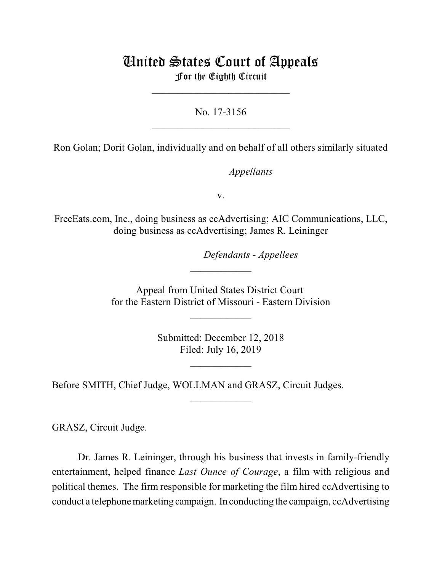# United States Court of Appeals For the Eighth Circuit

 $\overline{\phantom{a}}$  , which is a set of the set of the set of the set of the set of the set of the set of the set of the set of the set of the set of the set of the set of the set of the set of the set of the set of the set of th

No. 17-3156  $\mathcal{L}_\text{max}$  , where  $\mathcal{L}_\text{max}$  , we have the set of the set of the set of the set of the set of the set of the set of the set of the set of the set of the set of the set of the set of the set of the set of the set of

Ron Golan; Dorit Golan, individually and on behalf of all others similarly situated

*Appellants* 

v.

FreeEats.com, Inc., doing business as ccAdvertising; AIC Communications, LLC, doing business as ccAdvertising; James R. Leininger

lllllllllllllllllllll*Defendants - Appellees*

Appeal from United States District Court for the Eastern District of Missouri - Eastern Division

 $\overline{\phantom{a}}$  , where  $\overline{\phantom{a}}$ 

 $\frac{1}{2}$ 

Submitted: December 12, 2018 Filed: July 16, 2019

 $\frac{1}{2}$ 

 $\frac{1}{2}$ 

Before SMITH, Chief Judge, WOLLMAN and GRASZ, Circuit Judges.

GRASZ, Circuit Judge.

Dr. James R. Leininger, through his business that invests in family-friendly entertainment, helped finance *Last Ounce of Courage*, a film with religious and political themes. The firm responsible for marketing the film hired ccAdvertising to conduct a telephone marketing campaign. In conducting the campaign, ccAdvertising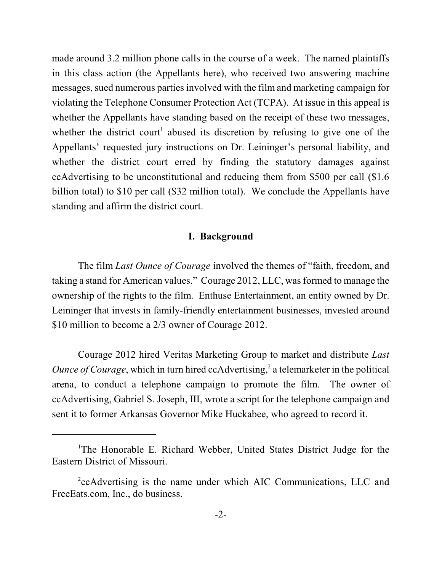made around 3.2 million phone calls in the course of a week. The named plaintiffs in this class action (the Appellants here), who received two answering machine messages, sued numerous parties involved with the film and marketing campaign for violating the Telephone Consumer Protection Act (TCPA). At issue in this appeal is whether the Appellants have standing based on the receipt of these two messages, whether the district court<sup>1</sup> abused its discretion by refusing to give one of the Appellants' requested jury instructions on Dr. Leininger's personal liability, and whether the district court erred by finding the statutory damages against ccAdvertising to be unconstitutional and reducing them from \$500 per call (\$1.6 billion total) to \$10 per call (\$32 million total). We conclude the Appellants have standing and affirm the district court.

#### **I. Background**

The film *Last Ounce of Courage* involved the themes of "faith, freedom, and taking a stand for American values." Courage 2012, LLC, was formed to manage the ownership of the rights to the film. Enthuse Entertainment, an entity owned by Dr. Leininger that invests in family-friendly entertainment businesses, invested around \$10 million to become a 2/3 owner of Courage 2012.

Courage 2012 hired Veritas Marketing Group to market and distribute *Last Ounce of Courage*, which in turn hired ccAdvertising, 2 a telemarketer in the political arena, to conduct a telephone campaign to promote the film. The owner of ccAdvertising, Gabriel S. Joseph, III, wrote a script for the telephone campaign and sent it to former Arkansas Governor Mike Huckabee, who agreed to record it.

<sup>&</sup>lt;sup>1</sup>The Honorable E. Richard Webber, United States District Judge for the Eastern District of Missouri.

<sup>&</sup>lt;sup>2</sup>ccAdvertising is the name under which AIC Communications, LLC and FreeEats.com, Inc., do business.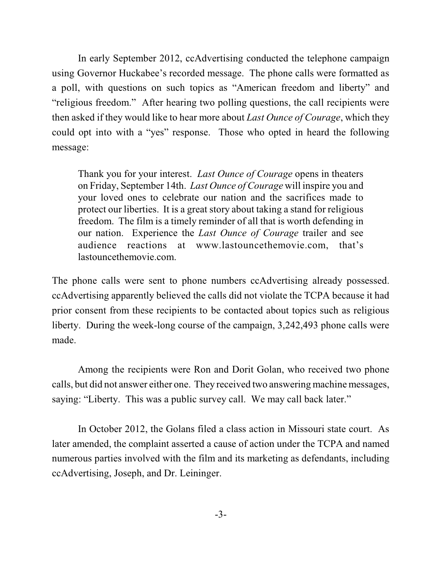In early September 2012, ccAdvertising conducted the telephone campaign using Governor Huckabee's recorded message. The phone calls were formatted as a poll, with questions on such topics as "American freedom and liberty" and "religious freedom." After hearing two polling questions, the call recipients were then asked if they would like to hear more about *Last Ounce of Courage*, which they could opt into with a "yes" response. Those who opted in heard the following message:

Thank you for your interest. *Last Ounce of Courage* opens in theaters on Friday, September 14th. *Last Ounce of Courage* will inspire you and your loved ones to celebrate our nation and the sacrifices made to protect our liberties. It is a great story about taking a stand for religious freedom. The film is a timely reminder of all that is worth defending in our nation. Experience the *Last Ounce of Courage* trailer and see audience reactions at www.lastouncethemovie.com, that's lastouncethemovie.com.

The phone calls were sent to phone numbers ccAdvertising already possessed. ccAdvertising apparently believed the calls did not violate the TCPA because it had prior consent from these recipients to be contacted about topics such as religious liberty. During the week-long course of the campaign, 3,242,493 phone calls were made.

Among the recipients were Ron and Dorit Golan, who received two phone calls, but did not answer either one. They received two answering machine messages, saying: "Liberty. This was a public survey call. We may call back later."

In October 2012, the Golans filed a class action in Missouri state court. As later amended, the complaint asserted a cause of action under the TCPA and named numerous parties involved with the film and its marketing as defendants, including ccAdvertising, Joseph, and Dr. Leininger.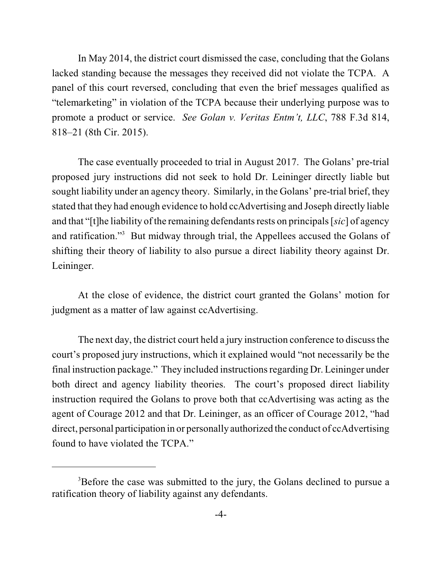In May 2014, the district court dismissed the case, concluding that the Golans lacked standing because the messages they received did not violate the TCPA. A panel of this court reversed, concluding that even the brief messages qualified as "telemarketing" in violation of the TCPA because their underlying purpose was to promote a product or service. *See Golan v. Veritas Entm't, LLC*, 788 F.3d 814, 818–21 (8th Cir. 2015).

The case eventually proceeded to trial in August 2017. The Golans' pre-trial proposed jury instructions did not seek to hold Dr. Leininger directly liable but sought liability under an agency theory. Similarly, in the Golans' pre-trial brief, they stated that they had enough evidence to hold ccAdvertising and Joseph directly liable and that "[t]he liability of the remaining defendants rests on principals[*sic*] of agency and ratification."<sup>3</sup> But midway through trial, the Appellees accused the Golans of shifting their theory of liability to also pursue a direct liability theory against Dr. Leininger.

At the close of evidence, the district court granted the Golans' motion for judgment as a matter of law against ccAdvertising.

The next day, the district court held a jury instruction conference to discuss the court's proposed jury instructions, which it explained would "not necessarily be the final instruction package." They included instructionsregarding Dr. Leininger under both direct and agency liability theories. The court's proposed direct liability instruction required the Golans to prove both that ccAdvertising was acting as the agent of Courage 2012 and that Dr. Leininger, as an officer of Courage 2012, "had direct, personal participation in or personally authorized the conduct of ccAdvertising found to have violated the TCPA."

<sup>&</sup>lt;sup>3</sup>Before the case was submitted to the jury, the Golans declined to pursue a ratification theory of liability against any defendants.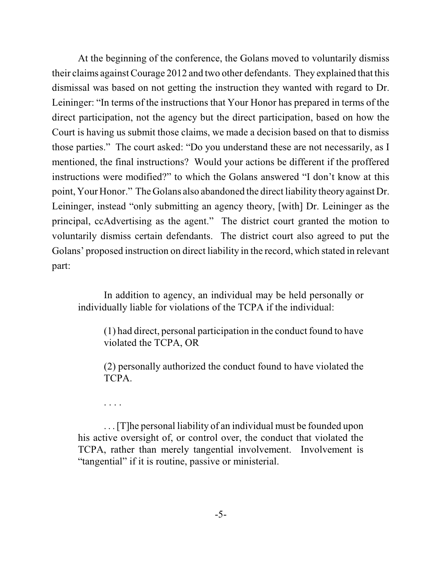At the beginning of the conference, the Golans moved to voluntarily dismiss their claims againstCourage 2012 and two other defendants. They explained that this dismissal was based on not getting the instruction they wanted with regard to Dr. Leininger: "In terms of the instructions that Your Honor has prepared in terms of the direct participation, not the agency but the direct participation, based on how the Court is having us submit those claims, we made a decision based on that to dismiss those parties." The court asked: "Do you understand these are not necessarily, as I mentioned, the final instructions? Would your actions be different if the proffered instructions were modified?" to which the Golans answered "I don't know at this point, Your Honor." The Golans also abandoned the direct liability theory against Dr. Leininger, instead "only submitting an agency theory, [with] Dr. Leininger as the principal, ccAdvertising as the agent." The district court granted the motion to voluntarily dismiss certain defendants. The district court also agreed to put the Golans' proposed instruction on direct liability in the record, which stated in relevant part:

In addition to agency, an individual may be held personally or individually liable for violations of the TCPA if the individual:

(1) had direct, personal participation in the conduct found to have violated the TCPA, OR

(2) personally authorized the conduct found to have violated the TCPA.

. . . .

. . . [T]he personal liability of an individual must be founded upon his active oversight of, or control over, the conduct that violated the TCPA, rather than merely tangential involvement. Involvement is "tangential" if it is routine, passive or ministerial.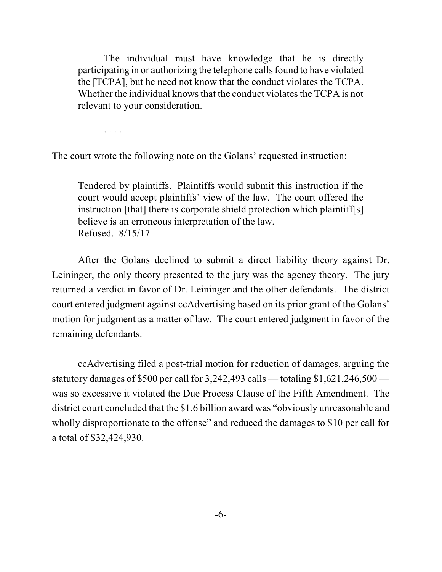The individual must have knowledge that he is directly participating in or authorizing the telephone calls found to have violated the [TCPA], but he need not know that the conduct violates the TCPA. Whether the individual knows that the conduct violates the TCPA is not relevant to your consideration.

. . . .

The court wrote the following note on the Golans' requested instruction:

Tendered by plaintiffs. Plaintiffs would submit this instruction if the court would accept plaintiffs' view of the law. The court offered the instruction [that] there is corporate shield protection which plaintiff[s] believe is an erroneous interpretation of the law. Refused. 8/15/17

After the Golans declined to submit a direct liability theory against Dr. Leininger, the only theory presented to the jury was the agency theory. The jury returned a verdict in favor of Dr. Leininger and the other defendants. The district court entered judgment against ccAdvertising based on its prior grant of the Golans' motion for judgment as a matter of law. The court entered judgment in favor of the remaining defendants.

ccAdvertising filed a post-trial motion for reduction of damages, arguing the statutory damages of \$500 per call for 3,242,493 calls — totaling \$1,621,246,500 was so excessive it violated the Due Process Clause of the Fifth Amendment. The district court concluded that the \$1.6 billion award was "obviously unreasonable and wholly disproportionate to the offense" and reduced the damages to \$10 per call for a total of \$32,424,930.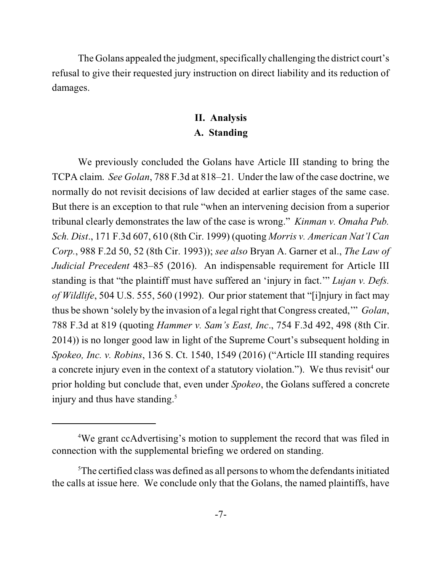The Golans appealed the judgment, specifically challenging the district court's refusal to give their requested jury instruction on direct liability and its reduction of damages.

## **II. Analysis A. Standing**

We previously concluded the Golans have Article III standing to bring the TCPA claim. *See Golan*, 788 F.3d at 818–21. Under the law of the case doctrine, we normally do not revisit decisions of law decided at earlier stages of the same case. But there is an exception to that rule "when an intervening decision from a superior tribunal clearly demonstrates the law of the case is wrong." *Kinman v. Omaha Pub. Sch. Dist*., 171 F.3d 607, 610 (8th Cir. 1999) (quoting *Morris v. American Nat'l Can Corp.*, 988 F.2d 50, 52 (8th Cir. 1993)); *see also* Bryan A. Garner et al., *The Law of Judicial Precedent* 483–85 (2016). An indispensable requirement for Article III standing is that "the plaintiff must have suffered an 'injury in fact.'" *Lujan v. Defs. of Wildlife*, 504 U.S. 555, 560 (1992). Our prior statement that "[i]njury in fact may thus be shown 'solely by the invasion of a legal right that Congress created,'" *Golan*, 788 F.3d at 819 (quoting *Hammer v. Sam's East, Inc*., 754 F.3d 492, 498 (8th Cir. 2014)) is no longer good law in light of the Supreme Court's subsequent holding in *Spokeo, Inc. v. Robins*, 136 S. Ct. 1540, 1549 (2016) ("Article III standing requires a concrete injury even in the context of a statutory violation."). We thus revisit<sup>4</sup> our prior holding but conclude that, even under *Spokeo*, the Golans suffered a concrete injury and thus have standing. 5

<sup>4</sup>We grant ccAdvertising's motion to supplement the record that was filed in connection with the supplemental briefing we ordered on standing.

 ${}^{5}$ The certified class was defined as all persons to whom the defendants initiated the calls at issue here. We conclude only that the Golans, the named plaintiffs, have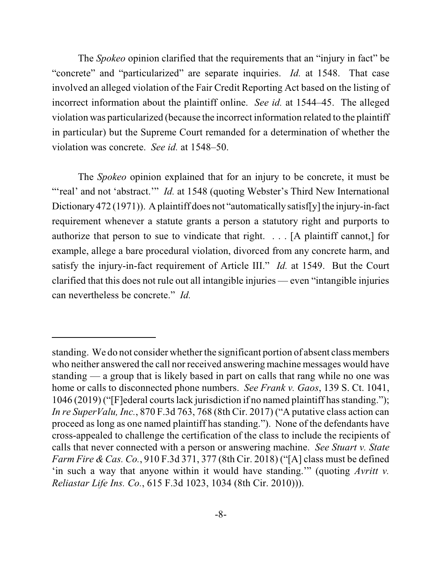The *Spokeo* opinion clarified that the requirements that an "injury in fact" be "concrete" and "particularized" are separate inquiries. *Id.* at 1548. That case involved an alleged violation of the Fair Credit Reporting Act based on the listing of incorrect information about the plaintiff online. *See id.* at 1544–45. The alleged violation was particularized (because the incorrect information related to the plaintiff in particular) but the Supreme Court remanded for a determination of whether the violation was concrete. *See id.* at 1548–50.

The *Spokeo* opinion explained that for an injury to be concrete, it must be "'real' and not 'abstract." *Id.* at 1548 (quoting Webster's Third New International Dictionary 472 (1971)). A plaintiff does not "automatically satisf[y] the injury-in-fact requirement whenever a statute grants a person a statutory right and purports to authorize that person to sue to vindicate that right. . . . [A plaintiff cannot,] for example, allege a bare procedural violation, divorced from any concrete harm, and satisfy the injury-in-fact requirement of Article III." *Id.* at 1549. But the Court clarified that this does not rule out all intangible injuries — even "intangible injuries can nevertheless be concrete." *Id.*

standing. We do not consider whether the significant portion of absent class members who neither answered the call nor received answering machine messages would have standing — a group that is likely based in part on calls that rang while no one was home or calls to disconnected phone numbers. *See Frank v. Gaos*, 139 S. Ct. 1041, 1046 (2019) ("[F]ederal courts lack jurisdiction if no named plaintiff has standing."); *In re SuperValu, Inc.*, 870 F.3d 763, 768 (8th Cir. 2017) ("A putative class action can proceed as long as one named plaintiff has standing."). None of the defendants have cross-appealed to challenge the certification of the class to include the recipients of calls that never connected with a person or answering machine. *See Stuart v. State Farm Fire & Cas. Co.*, 910 F.3d 371, 377 (8th Cir. 2018) ("[A] class must be defined 'in such a way that anyone within it would have standing.'" (quoting *Avritt v. Reliastar Life Ins. Co.*, 615 F.3d 1023, 1034 (8th Cir. 2010))).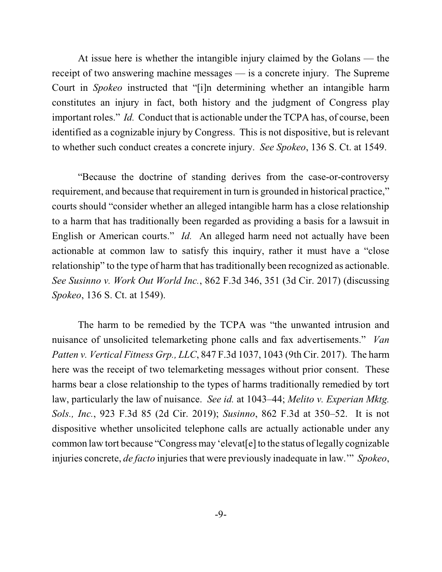At issue here is whether the intangible injury claimed by the Golans — the receipt of two answering machine messages — is a concrete injury. The Supreme Court in *Spokeo* instructed that "[i]n determining whether an intangible harm constitutes an injury in fact, both history and the judgment of Congress play important roles." *Id.* Conduct that is actionable under the TCPA has, of course, been identified as a cognizable injury by Congress. This is not dispositive, but is relevant to whether such conduct creates a concrete injury. *See Spokeo*, 136 S. Ct. at 1549.

"Because the doctrine of standing derives from the case-or-controversy requirement, and because that requirement in turn is grounded in historical practice," courts should "consider whether an alleged intangible harm has a close relationship to a harm that has traditionally been regarded as providing a basis for a lawsuit in English or American courts." *Id.* An alleged harm need not actually have been actionable at common law to satisfy this inquiry, rather it must have a "close relationship" to the type of harm that has traditionally been recognized as actionable. *See Susinno v. Work Out World Inc.*, 862 F.3d 346, 351 (3d Cir. 2017) (discussing *Spokeo*, 136 S. Ct. at 1549).

The harm to be remedied by the TCPA was "the unwanted intrusion and nuisance of unsolicited telemarketing phone calls and fax advertisements." *Van Patten v. Vertical Fitness Grp., LLC*, 847 F.3d 1037, 1043 (9th Cir. 2017). The harm here was the receipt of two telemarketing messages without prior consent. These harms bear a close relationship to the types of harms traditionally remedied by tort law, particularly the law of nuisance. *See id.* at 1043–44; *Melito v. Experian Mktg. Sols., Inc.*, 923 F.3d 85 (2d Cir. 2019); *Susinno*, 862 F.3d at 350–52. It is not dispositive whether unsolicited telephone calls are actually actionable under any common law tort because "Congress may 'elevat[e] to the status of legally cognizable injuries concrete, *de facto* injuries that were previously inadequate in law.'" *Spokeo*,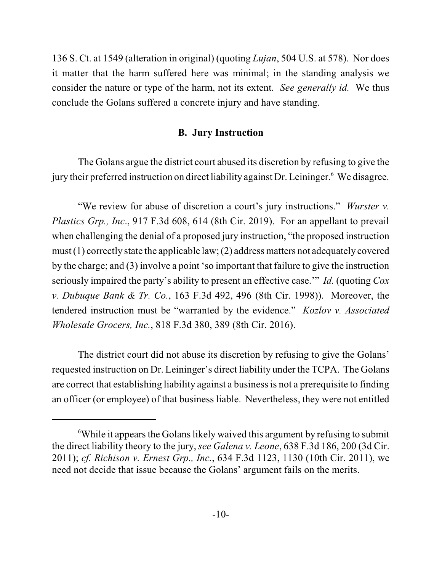136 S. Ct. at 1549 (alteration in original) (quoting *Lujan*, 504 U.S. at 578). Nor does it matter that the harm suffered here was minimal; in the standing analysis we consider the nature or type of the harm, not its extent. *See generally id.* We thus conclude the Golans suffered a concrete injury and have standing.

### **B. Jury Instruction**

The Golans argue the district court abused its discretion by refusing to give the jury their preferred instruction on direct liability against Dr. Leininger.<sup>6</sup> We disagree.

"We review for abuse of discretion a court's jury instructions." *Wurster v. Plastics Grp., Inc*., 917 F.3d 608, 614 (8th Cir. 2019). For an appellant to prevail when challenging the denial of a proposed jury instruction, "the proposed instruction must  $(1)$  correctly state the applicable law;  $(2)$  address matters not adequately covered by the charge; and (3) involve a point 'so important that failure to give the instruction seriously impaired the party's ability to present an effective case.'" *Id.* (quoting *Cox v. Dubuque Bank & Tr. Co.*, 163 F.3d 492, 496 (8th Cir. 1998)). Moreover, the tendered instruction must be "warranted by the evidence." *Kozlov v. Associated Wholesale Grocers, Inc.*, 818 F.3d 380, 389 (8th Cir. 2016).

The district court did not abuse its discretion by refusing to give the Golans' requested instruction on Dr. Leininger's direct liability under the TCPA. The Golans are correct that establishing liability against a businessis not a prerequisite to finding an officer (or employee) of that business liable. Nevertheless, they were not entitled

 $6$ While it appears the Golans likely waived this argument by refusing to submit the direct liability theory to the jury, *see Galena v. Leone*, 638 F.3d 186, 200 (3d Cir. 2011); *cf. Richison v. Ernest Grp., Inc.*, 634 F.3d 1123, 1130 (10th Cir. 2011), we need not decide that issue because the Golans' argument fails on the merits.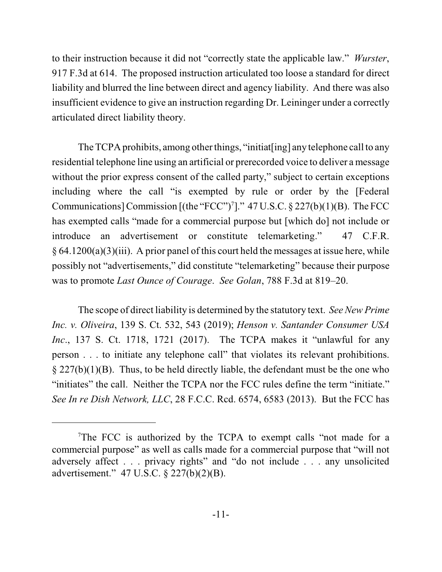to their instruction because it did not "correctly state the applicable law." *Wurster*, 917 F.3d at 614. The proposed instruction articulated too loose a standard for direct liability and blurred the line between direct and agency liability. And there was also insufficient evidence to give an instruction regarding Dr. Leininger under a correctly articulated direct liability theory.

The TCPA prohibits, among other things, "initiat[ing] any telephone call to any residential telephone line using an artificial or prerecorded voice to deliver a message without the prior express consent of the called party," subject to certain exceptions including where the call "is exempted by rule or order by the [Federal Communications] Commission [(the "FCC")<sup>7</sup>]."  $47 \text{ U.S.C.} \$   $227(b)(1)(B)$ . The FCC has exempted calls "made for a commercial purpose but [which do] not include or introduce an advertisement or constitute telemarketing." 47 C.F.R.  $\S 64.1200(a)(3)(iii)$ . A prior panel of this court held the messages at issue here, while possibly not "advertisements," did constitute "telemarketing" because their purpose was to promote *Last Ounce of Courage*. *See Golan*, 788 F.3d at 819–20.

The scope of direct liability is determined by the statutory text. *See New Prime Inc. v. Oliveira*, 139 S. Ct. 532, 543 (2019); *Henson v. Santander Consumer USA Inc*., 137 S. Ct. 1718, 1721 (2017). The TCPA makes it "unlawful for any person . . . to initiate any telephone call" that violates its relevant prohibitions.  $\S 227(b)(1)(B)$ . Thus, to be held directly liable, the defendant must be the one who "initiates" the call. Neither the TCPA nor the FCC rules define the term "initiate." *See In re Dish Network, LLC*, 28 F.C.C. Rcd. 6574, 6583 (2013). But the FCC has

<sup>&</sup>lt;sup>7</sup>The FCC is authorized by the TCPA to exempt calls "not made for a commercial purpose" as well as calls made for a commercial purpose that "will not adversely affect . . . privacy rights" and "do not include . . . any unsolicited advertisement." 47 U.S.C. § 227(b)(2)(B).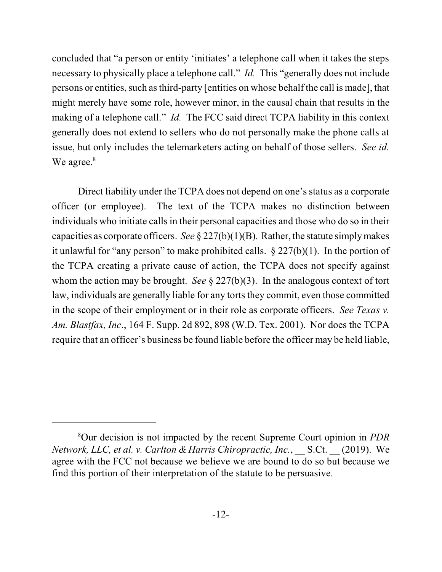concluded that "a person or entity 'initiates' a telephone call when it takes the steps necessary to physically place a telephone call." *Id.* This "generally does not include persons or entities, such asthird-party [entities on whose behalf the call is made], that might merely have some role, however minor, in the causal chain that results in the making of a telephone call." *Id.* The FCC said direct TCPA liability in this context generally does not extend to sellers who do not personally make the phone calls at issue, but only includes the telemarketers acting on behalf of those sellers. *See id.* We agree.<sup>8</sup>

Direct liability under the TCPA does not depend on one's status as a corporate officer (or employee). The text of the TCPA makes no distinction between individuals who initiate calls in their personal capacities and those who do so in their capacities as corporate officers. *See*  $\S 227(b)(1)(B)$ . Rather, the statute simply makes it unlawful for "any person" to make prohibited calls.  $\S 227(b)(1)$ . In the portion of the TCPA creating a private cause of action, the TCPA does not specify against whom the action may be brought. *See* § 227(b)(3). In the analogous context of tort law, individuals are generally liable for any torts they commit, even those committed in the scope of their employment or in their role as corporate officers. *See Texas v. Am. Blastfax, Inc*., 164 F. Supp. 2d 892, 898 (W.D. Tex. 2001). Nor does the TCPA require that an officer's business be found liable before the officer may be held liable,

<sup>8</sup>Our decision is not impacted by the recent Supreme Court opinion in *PDR Network, LLC, et al. v. Carlton & Harris Chiropractic, Inc.*, \_\_ S.Ct. \_\_ (2019). We agree with the FCC not because we believe we are bound to do so but because we find this portion of their interpretation of the statute to be persuasive.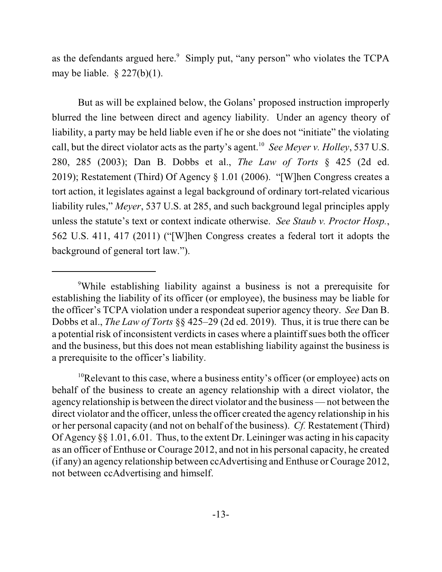as the defendants argued here.<sup>9</sup> Simply put, "any person" who violates the TCPA may be liable.  $\S 227(b)(1)$ .

But as will be explained below, the Golans' proposed instruction improperly blurred the line between direct and agency liability. Under an agency theory of liability, a party may be held liable even if he or she does not "initiate" the violating call, but the direct violator acts as the party's agent. 10 *See Meyer v. Holley*, 537 U.S. 280, 285 (2003); Dan B. Dobbs et al., *The Law of Torts* § 425 (2d ed. 2019); Restatement (Third) Of Agency § 1.01 (2006). "[W]hen Congress creates a tort action, it legislates against a legal background of ordinary tort-related vicarious liability rules," *Meyer*, 537 U.S. at 285, and such background legal principles apply unless the statute's text or context indicate otherwise. *See Staub v. Proctor Hosp.*, 562 U.S. 411, 417 (2011) ("[W]hen Congress creates a federal tort it adopts the background of general tort law.").

<sup>9</sup>While establishing liability against a business is not a prerequisite for establishing the liability of its officer (or employee), the business may be liable for the officer's TCPA violation under a respondeat superior agency theory. *See* Dan B. Dobbs et al., *The Law of Torts* §§ 425–29 (2d ed. 2019). Thus, it is true there can be a potential risk of inconsistent verdictsin cases where a plaintiff sues both the officer and the business, but this does not mean establishing liability against the business is a prerequisite to the officer's liability.

<sup>&</sup>lt;sup>10</sup>Relevant to this case, where a business entity's officer (or employee) acts on behalf of the business to create an agency relationship with a direct violator, the agency relationship is between the direct violator and the business —not between the direct violator and the officer, unless the officer created the agency relationship in his or her personal capacity (and not on behalf of the business). *Cf.* Restatement (Third) Of Agency §§ 1.01, 6.01. Thus, to the extent Dr. Leininger was acting in his capacity as an officer of Enthuse or Courage 2012, and not in his personal capacity, he created (if any) an agency relationship between ccAdvertising and Enthuse or Courage 2012, not between ccAdvertising and himself.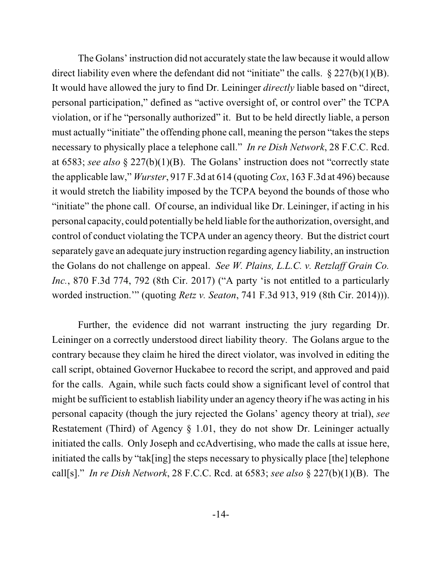The Golans'instruction did not accurately state the law because it would allow direct liability even where the defendant did not "initiate" the calls.  $\S 227(b)(1)(B)$ . It would have allowed the jury to find Dr. Leininger *directly* liable based on "direct, personal participation," defined as "active oversight of, or control over" the TCPA violation, or if he "personally authorized" it. But to be held directly liable, a person must actually "initiate" the offending phone call, meaning the person "takes the steps necessary to physically place a telephone call." *In re Dish Network*, 28 F.C.C. Rcd. at 6583; *see also* § 227(b)(1)(B). The Golans' instruction does not "correctly state the applicable law," *Wurster*, 917 F.3d at 614 (quoting *Cox*, 163 F.3d at 496) because it would stretch the liability imposed by the TCPA beyond the bounds of those who "initiate" the phone call. Of course, an individual like Dr. Leininger, if acting in his personal capacity, could potentially be held liable for the authorization, oversight, and control of conduct violating the TCPA under an agency theory. But the district court separately gave an adequate jury instruction regarding agency liability, an instruction the Golans do not challenge on appeal. *See W. Plains, L.L.C. v. Retzlaff Grain Co. Inc.*, 870 F.3d 774, 792 (8th Cir. 2017) ("A party 'is not entitled to a particularly worded instruction.'" (quoting *Retz v. Seaton*, 741 F.3d 913, 919 (8th Cir. 2014))).

Further, the evidence did not warrant instructing the jury regarding Dr. Leininger on a correctly understood direct liability theory. The Golans argue to the contrary because they claim he hired the direct violator, was involved in editing the call script, obtained Governor Huckabee to record the script, and approved and paid for the calls. Again, while such facts could show a significant level of control that might be sufficient to establish liability under an agency theory if he was acting in his personal capacity (though the jury rejected the Golans' agency theory at trial), *see* Restatement (Third) of Agency § 1.01, they do not show Dr. Leininger actually initiated the calls. Only Joseph and ccAdvertising, who made the calls at issue here, initiated the calls by "tak[ing] the steps necessary to physically place [the] telephone call[s]." *In re Dish Network*, 28 F.C.C. Rcd. at 6583; *see also* § 227(b)(1)(B). The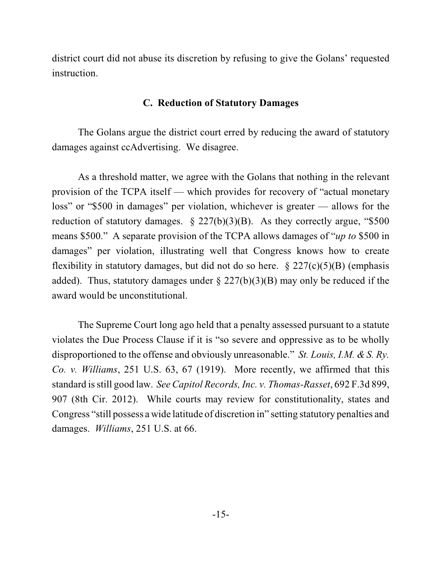district court did not abuse its discretion by refusing to give the Golans' requested instruction.

### **C. Reduction of Statutory Damages**

The Golans argue the district court erred by reducing the award of statutory damages against ccAdvertising. We disagree.

As a threshold matter, we agree with the Golans that nothing in the relevant provision of the TCPA itself — which provides for recovery of "actual monetary loss" or "\$500 in damages" per violation, whichever is greater — allows for the reduction of statutory damages.  $\S 227(b)(3)(B)$ . As they correctly argue, "\$500 means \$500." A separate provision of the TCPA allows damages of "*up to* \$500 in damages" per violation, illustrating well that Congress knows how to create flexibility in statutory damages, but did not do so here.  $\S 227(c)(5)(B)$  (emphasis added). Thus, statutory damages under  $\S 227(b)(3)(B)$  may only be reduced if the award would be unconstitutional.

The Supreme Court long ago held that a penalty assessed pursuant to a statute violates the Due Process Clause if it is "so severe and oppressive as to be wholly disproportioned to the offense and obviously unreasonable." *St. Louis, I.M. & S. Ry. Co. v. Williams*, 251 U.S. 63, 67 (1919). More recently, we affirmed that this standard isstill good law. *See Capitol Records, Inc. v. Thomas-Rasset*, 692 F.3d 899, 907 (8th Cir. 2012). While courts may review for constitutionality, states and Congress "still possess a wide latitude of discretion in" setting statutory penalties and damages. *Williams*, 251 U.S. at 66.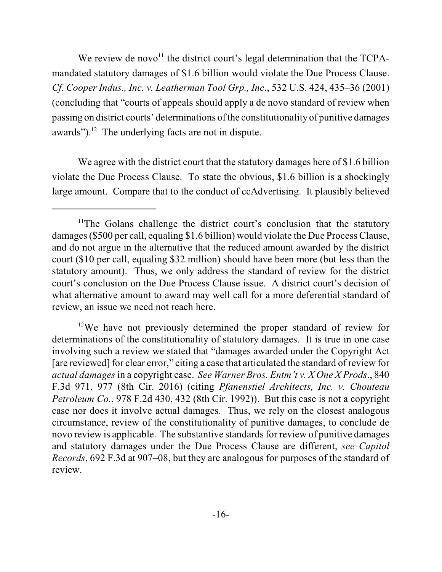We review de novo<sup>11</sup> the district court's legal determination that the TCPAmandated statutory damages of \$1.6 billion would violate the Due Process Clause. *Cf. Cooper Indus., Inc. v. Leatherman Tool Grp., Inc*., 532 U.S. 424, 435–36 (2001) (concluding that "courts of appeals should apply a de novo standard of review when passing on district courts' determinations of the constitutionality of punitive damages awards"). $12$  The underlying facts are not in dispute.

We agree with the district court that the statutory damages here of \$1.6 billion violate the Due Process Clause. To state the obvious, \$1.6 billion is a shockingly large amount. Compare that to the conduct of ccAdvertising. It plausibly believed

<sup>&</sup>lt;sup>11</sup>The Golans challenge the district court's conclusion that the statutory damages(\$500 per call, equaling \$1.6 billion) would violate the Due Process Clause, and do not argue in the alternative that the reduced amount awarded by the district court (\$10 per call, equaling \$32 million) should have been more (but less than the statutory amount). Thus, we only address the standard of review for the district court's conclusion on the Due Process Clause issue. A district court's decision of what alternative amount to award may well call for a more deferential standard of review, an issue we need not reach here.

<sup>&</sup>lt;sup>12</sup>We have not previously determined the proper standard of review for determinations of the constitutionality of statutory damages. It is true in one case involving such a review we stated that "damages awarded under the Copyright Act [are reviewed] for clear error," citing a case that articulated the standard of review for *actual damages*in a copyright case. *See Warner Bros. Entm't v. X One X Prods*., 840 F.3d 971, 977 (8th Cir. 2016) (citing *Pfanenstiel Architects, Inc. v. Chouteau Petroleum Co.*, 978 F.2d 430, 432 (8th Cir. 1992)). But this case is not a copyright case nor does it involve actual damages. Thus, we rely on the closest analogous circumstance, review of the constitutionality of punitive damages, to conclude de novo review is applicable. The substantive standards for review of punitive damages and statutory damages under the Due Process Clause are different, *see Capitol Records*, 692 F.3d at 907–08, but they are analogous for purposes of the standard of review.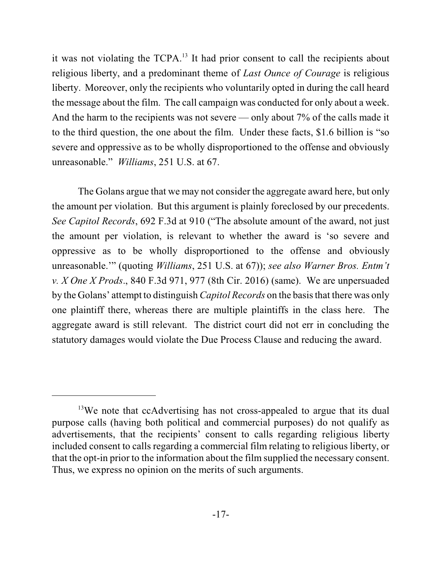it was not violating the TCPA.<sup>13</sup> It had prior consent to call the recipients about religious liberty, and a predominant theme of *Last Ounce of Courage* is religious liberty. Moreover, only the recipients who voluntarily opted in during the call heard the message about the film. The call campaign was conducted for only about a week. And the harm to the recipients was not severe — only about 7% of the calls made it to the third question, the one about the film. Under these facts, \$1.6 billion is "so severe and oppressive as to be wholly disproportioned to the offense and obviously unreasonable." *Williams*, 251 U.S. at 67.

The Golans argue that we may not consider the aggregate award here, but only the amount per violation. But this argument is plainly foreclosed by our precedents. *See Capitol Records*, 692 F.3d at 910 ("The absolute amount of the award, not just the amount per violation, is relevant to whether the award is 'so severe and oppressive as to be wholly disproportioned to the offense and obviously unreasonable.'" (quoting *Williams*, 251 U.S. at 67)); *see also Warner Bros. Entm't v. X One X Prods*., 840 F.3d 971, 977 (8th Cir. 2016) (same). We are unpersuaded by the Golans' attempt to distinguish *Capitol Records* on the basisthat there was only one plaintiff there, whereas there are multiple plaintiffs in the class here. The aggregate award is still relevant. The district court did not err in concluding the statutory damages would violate the Due Process Clause and reducing the award.

<sup>&</sup>lt;sup>13</sup>We note that ccAdvertising has not cross-appealed to argue that its dual purpose calls (having both political and commercial purposes) do not qualify as advertisements, that the recipients' consent to calls regarding religious liberty included consent to calls regarding a commercial film relating to religious liberty, or that the opt-in prior to the information about the film supplied the necessary consent. Thus, we express no opinion on the merits of such arguments.